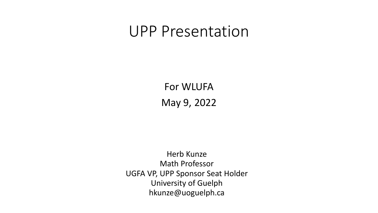### UPP Presentation

For WLUFA May 9, 2022

Herb Kunze Math Professor UGFA VP, UPP Sponsor Seat Holder University of Guelph hkunze@uoguelph.ca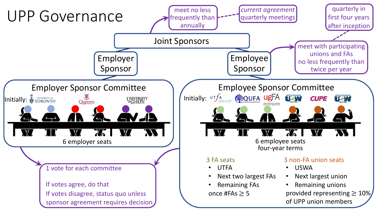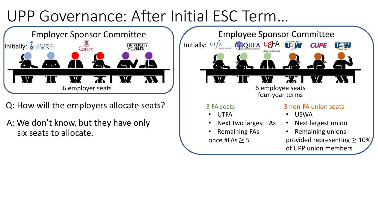## UPP Governance : After Initial ESC Term…



Q: How will the employers allocate seats?

A: We don't know, but they have only six seats to allocate.

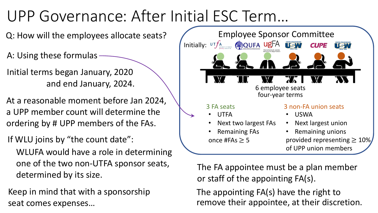# UPP Governance : After Initial ESC Term…

Q: How will the employees allocate seats?

A: Using these formulas

Initial terms began January, 2020 and end January, 2024.

At a reasonable moment before Jan 2024, a UPP member count will determine the ordering by # UPP members of the FAs.

If WLU joins by "the count date":

WLUFA would have a role in determining one of the two non-UTFA sponsor seats, determined by its size.

Keep in mind that with a sponsorship seat comes expenses…



The FA appointee must be a plan member or staff of the appointing FA(s).

The appointing FA(s) have the right to remove their appointee, at their discretion.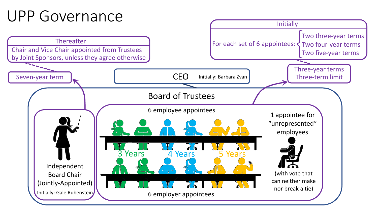### UPP Governance

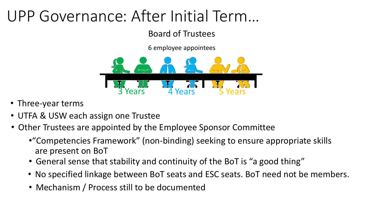## UPP Governance : After Initial Term…

Board of Trustees

6 employee appointees



- Three-year terms
- UTFA & USW each assign one Trustee
- Other Trustees are appointed by the Employee Sponsor Committee
	- •"Competencies Framework" (non-binding) seeking to ensure appropriate skills are present on BoT
	- General sense that stability and continuity of the BoT is "a good thing"
	- No specified linkage between BoT seats and ESC seats. BoT need not be members.
	- Mechanism / Process still to be documented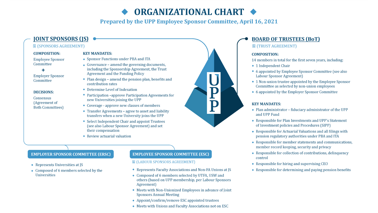### ORGANIZATIONAL CHART

**Prepared by the UPP Employee Sponsor Committee, April 16, 2021** 

#### **JOINT SPONSORS (IS)**

#### **圖 (SPONSORS AGREEMENT)**

#### **COMPOSITION:**

**Employee Sponsor** Committee

#### ÷.

**Employer Sponsor** Committee

#### **DECISIONS:**

Consensus (Agreement of **Both Committees)** 

#### **KEY MANDATES:**

- ◆ Sponsor Functions under PBA and ITA
- $\bullet$  Governance amend the governing documents, including the Sponsorship Agreement, the Trust **Agreement and the Funding Policy**
- $\bullet$  Plan design amend the pension plan, benefits and contribution rates
- Determine Level of Indexation
- Participation -approve Participation Agreements for new Universities joining the UPP
- Coverage approve new classes of members
- Transfer Agreements agree to asset and liability transfers when a new University joins the UPP
- Select Independent Chair and appoint Trustees (see also Labour Sponsor Agreement) and set their compensation
- Review actuarial valuation

#### **EMPLOYER SPONSOR COMMITTEE (ERSC)**

- Represents Universities at JS
- Composed of 6 members selected by the **Universities**

#### **EMPLOYEE SPONSOR COMMITTEE (ESC)**

#### **■ (LABOUR SPONSORS AGREEMENT)**

- ◆ Represents Faculty Associations and Non-FA Unions at JS
- Composed of 6 members selected by UTFA, USW and others (based on UPP membership, per Labour Sponsors Agreement)
- Meets with Non-Unionized Employees in advance of Joint **Sponsors Annual Meeting**
- Appoint/confirm/remove ESC appointed trustees
- Meets with Unions and Faculty Associations not on ESC

#### **BOARD OF TRUSTEES (BoT)**

#### **■ (TRUST AGREEMENT)**

#### **COMPOSITION:**

14 members in total for the first seven years, including:

- ◆ 1 Independent Chair
- 6 appointed by Employee Sponsor Committee (see also Labour Sponsor Agreement)
- $\bullet$  1 Non-union trustee appointed by the Employee Sponsor Committee as selected by non-union employees
- 6 appointed by the Employer Sponsor Committee

#### **KEY MANDATES:**

- Plan administrator fiduciary administrator of the UPP and UPP Fund
- Responsible for Plan Investments and UPP's Statement of Investment policies and Procedures (SIPP)
- Responsible for Actuarial Valuations and all filings with pension regulatory authorities under PBA and ITA
- Responsible for member statements and communications, member record keeping, security and privacy
- Responsible for collection of contributions, delinquency control
- $\bullet$  Responsible for hiring and supervising CEO
- Responsible for determining and paying pension benefits

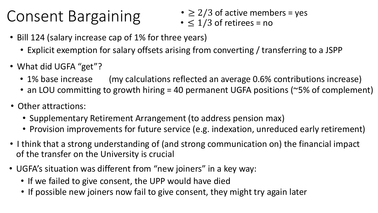### Consent Bargaining

- $\geq$  2/3 of active members = yes
- $\leq 1/3$  of retirees = no
- Bill 124 (salary increase cap of 1% for three years)
	- Explicit exemption for salary offsets arising from converting / transferring to a JSPP
- What did UGFA "get"?
	- 1% base increase (my calculations reflected an average 0.6% contributions increase)
	- an LOU committing to growth hiring = 40 permanent UGFA positions (~5% of complement)
- Other attractions:
	- Supplementary Retirement Arrangement (to address pension max)
	- Provision improvements for future service (e.g. indexation, unreduced early retirement)
- I think that a strong understanding of (and strong communication on) the financial impact of the transfer on the University is crucial
- UGFA's situation was different from "new joiners" in a key way:
	- If we failed to give consent, the UPP would have died
	- If possible new joiners now fail to give consent, they might try again later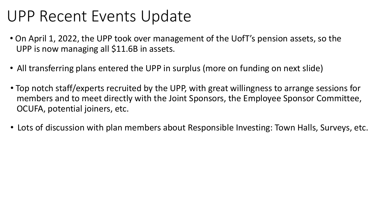### UPP Recent Events Update

- On April 1, 2022, the UPP took over management of the UofT's pension assets, so the UPP is now managing all \$11.6B in assets.
- All transferring plans entered the UPP in surplus (more on funding on next slide)
- Top notch staff/experts recruited by the UPP, with great willingness to arrange sessions for members and to meet directly with the Joint Sponsors, the Employee Sponsor Committee, OCUFA, potential joiners, etc.
- Lots of discussion with plan members about Responsible Investing: Town Halls, Surveys, etc.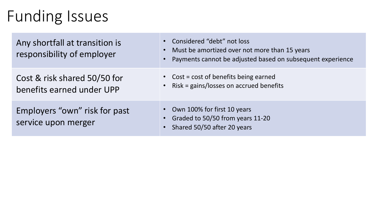### Funding Issues

Any shortfall at transition is responsibility of employer

Cost & risk shared 50/50 for benefits earned under UPP

Employers "own" risk for past service upon merger

- Considered "debt" not loss • Must be amortized over not more than 15 years
- Payments cannot be adjusted based on subsequent experience
- Cost = cost of benefits being earned
- Risk = gains/losses on accrued benefits
- Own 100% for first 10 years
- Graded to 50/50 from years 11-20
- Shared 50/50 after 20 years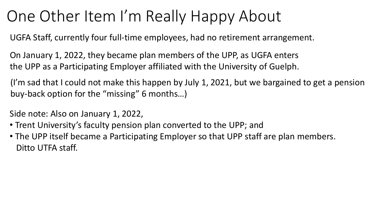### One Other Item I'm Really Happy About

UGFA Staff, currently four full-time employees, had no retirement arrangement.

On January 1, 2022, they became plan members of the UPP, as UGFA enters the UPP as a Participating Employer affiliated with the University of Guelph.

(I'm sad that I could not make this happen by July 1, 2021, but we bargained to get a pension buy-back option for the "missing" 6 months…)

Side note: Also on January 1, 2022,

- Trent University's faculty pension plan converted to the UPP; and
- The UPP itself became a Participating Employer so that UPP staff are plan members. Ditto UTFA staff.